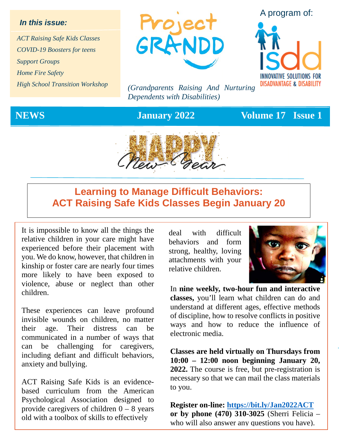### *In this issue:*

*ACT Raising Safe Kids Classes COVID-19 Boosters for teens Support Groups Home Fire Safety High School Transition Workshop*



*(Grandparents Raising And Nurturing Dependents with Disabilities)*

### A program of:



**NEWS January 2022 Volume 17 Issue 1** 



### **Learning to Manage Difficult Behaviors: ACT Raising Safe Kids Classes Begin January 20**

It is impossible to know all the things the relative children in your care might have experienced before their placement with you. We do know, however, that children in kinship or foster care are nearly four times more likely to have been exposed to violence, abuse or neglect than other children.

These experiences can leave profound invisible wounds on children, no matter their age. Their distress can be communicated in a number of ways that can be challenging for caregivers, including defiant and difficult behaviors, anxiety and bullying.

ACT Raising Safe Kids is an evidencebased curriculum from the American Psychological Association designed to provide caregivers of children  $0 - 8$  years old with a toolbox of skills to effectively

deal with difficult behaviors and form strong, healthy, loving attachments with your relative children.



In **nine weekly, two-hour fun and interactive classes,** you'll learn what children can do and understand at different ages, effective methods of discipline, how to resolve conflicts in positive ways and how to reduce the influence of electronic media.

**Classes are held virtually on Thursdays from 10:00 – 12:00 noon beginning January 20, 2022.** The course is free, but pre-registration is necessary so that we can mail the class materials to you.

**Register on-line:<https://bit.ly/Jan2022ACT> or by phone (470) 310-3025** (Sherri Felicia – who will also answer any questions you have).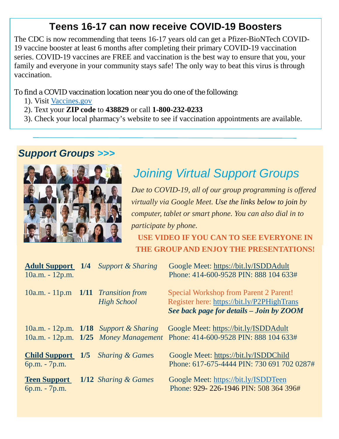### **Teens 16-17 can now receive COVID-19 Boosters**

The CDC is now recommending that teens 16-17 years old can get a Pfizer-BioNTech COVID-19 vaccine booster at least 6 months after completing their primary COVID-19 vaccination series. COVID-19 vaccines are FREE and vaccination is the best way to ensure that you, your family and everyone in your community stays safe! The only way to beat this virus is through vaccination.

To find a COVID vaccination location near you do one of the following:

- 1). Visit [Vaccines.gov](https://www.vaccines.gov/)
- 2). Text your **ZIP code** to **438829** or call **1-800-232-0233**
- 3). Check your local pharmacy's website to see if vaccination appointments are available.

### *Support Groups >>>*



## *Joining Virtual Support Groups*

*Due to COVID-19, all of our group programming is offered virtually via Google Meet. Use the links below to join by computer, tablet or smart phone. You can also dial in to participate by phone.* 

**USE VIDEO IF YOU CAN TO SEE EVERYONE IN THE GROUP AND ENJOY THE PRESENTATIONS!**

| <b>Adult Support</b> 1/4<br>$10a.m. - 12p.m.$ | <b>Support &amp; Sharing</b>                                                          | Google Meet: https://bit.ly/ISDDAdult<br>Phone: 414-600-9528 PIN: 888 104 633#                                                          |
|-----------------------------------------------|---------------------------------------------------------------------------------------|-----------------------------------------------------------------------------------------------------------------------------------------|
| $10a.m. - 11p.m$ $1/11$ Transition from       | <b>High School</b>                                                                    | <b>Special Workshop from Parent 2 Parent!</b><br>Register here: https://bit.ly/P2PHighTrans<br>See back page for details - Join by ZOOM |
|                                               | 10a.m. - 12p.m. $1/18$ Support & Sharing<br>$10a.m. - 12p.m.$ $1/25$ Money Management | Google Meet: https://bit.ly/ISDDAdult<br>Phone: 414-600-9528 PIN: 888 104 633#                                                          |
| <b>Child Support</b> 1/5<br>6p.m. - 7p.m.     | <b>Sharing &amp; Games</b>                                                            | Google Meet: https://bit.ly/ISDDChild<br>Phone: 617-675-4444 PIN: 730 691 702 0287#                                                     |
| <b>Teen Support</b><br>6p.m. - 7p.m.          | 1/12 Sharing & Games                                                                  | Google Meet: https://bit.ly/ISDDTeen<br>Phone: 929-226-1946 PIN: 508 364 396#                                                           |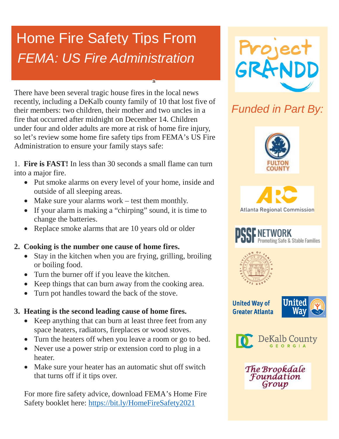# Home Fire Safety Tips From *FEMA: US Fire Administration*

There have been several tragic house fires in the local news recently, including a DeKalb county family of 10 that lost five of their members: two children, their mother and two uncles in a fire that occurred after midnight on December 14. Children under four and older adults are more at risk of home fire injury, so let's review some home fire safety tips from FEMA's US Fire Administration to ensure your family stays safe:

1. **Fire is FAST!** In less than 30 seconds a small flame can turn into a major fire.

- Put smoke alarms on every level of your home, inside and outside of all sleeping areas.
- Make sure your alarms work test them monthly.
- If your alarm is making a "chirping" sound, it is time to change the batteries.
- Replace smoke alarms that are 10 years old or older

### **2. Cooking is the number one cause of home fires.**

- Stay in the kitchen when you are frying, grilling, broiling or boiling food.
- Turn the burner off if you leave the kitchen.
- Keep things that can burn away from the cooking area.
- Turn pot handles toward the back of the stove.

### **3. Heating is the second leading cause of home fires.**

- Keep anything that can burn at least three feet from any space heaters, radiators, fireplaces or wood stoves.
- Turn the heaters off when you leave a room or go to bed.
- Never use a power strip or extension cord to plug in a heater.
- Make sure your heater has an automatic shut off switch that turns off if it tips over.

For more fire safety advice, download FEMA's Home Fire Safety booklet here:<https://bit.ly/HomeFireSafety2021>



## *Funded in Part By:*









**United Way of Greater Atlanta** 





The Brookdale Foundation Group